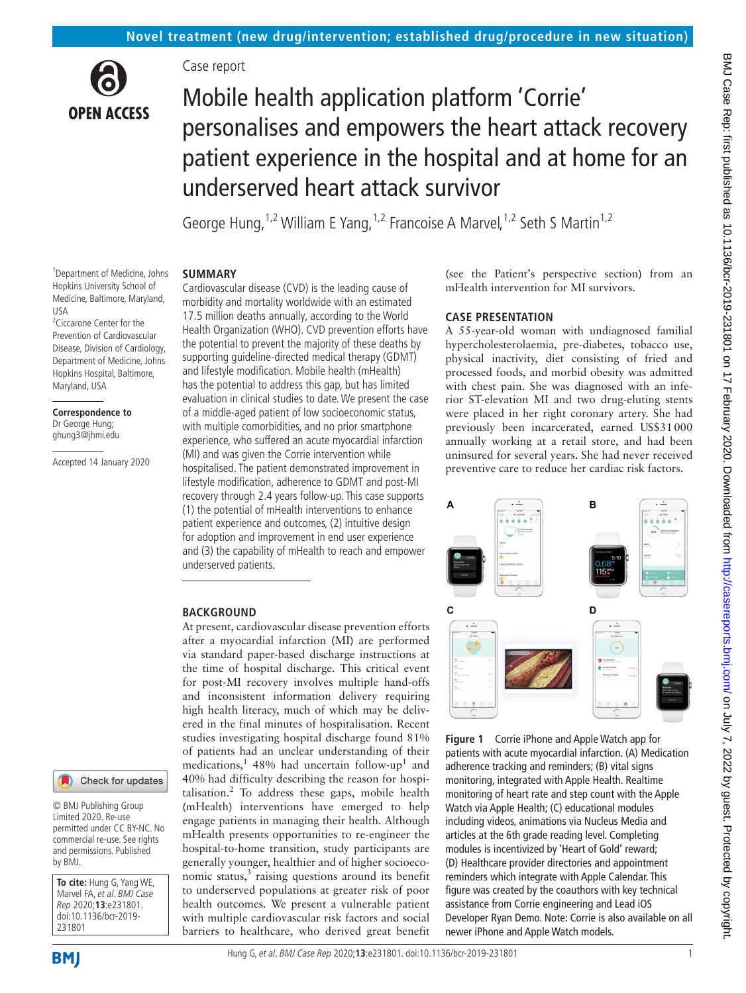

# Case report

# Mobile health application platform 'Corrie' personalises and empowers the heart attack recovery patient experience in the hospital and at home for an underserved heart attack survivor

George Hung,<sup>1,2</sup> William E Yang,<sup>1,2</sup> Francoise A Marvel,<sup>1,2</sup> Seth S Martin<sup>1,2</sup>

#### **SUMMARY**

1 Department of Medicine, Johns Hopkins University School of Medicine, Baltimore, Maryland, USA <sup>2</sup> Ciccarone Center for the Prevention of Cardiovascular Disease, Division of Cardiology, Department of Medicine, Johns Hopkins Hospital, Baltimore, Maryland, USA

**Correspondence to** Dr George Hung; ghung3@jhmi.edu

Accepted 14 January 2020

Cardiovascular disease (CVD) is the leading cause of morbidity and mortality worldwide with an estimated 17.5 million deaths annually, according to the World Health Organization (WHO). CVD prevention efforts have the potential to prevent the majority of these deaths by supporting guideline-directed medical therapy (GDMT) and lifestyle modification. Mobile health (mHealth) has the potential to address this gap, but has limited evaluation in clinical studies to date. We present the case of a middle-aged patient of low socioeconomic status, with multiple comorbidities, and no prior smartphone experience, who suffered an acute myocardial infarction (MI) and was given the Corrie intervention while hospitalised. The patient demonstrated improvement in lifestyle modification, adherence to GDMT and post-MI recovery through 2.4 years follow-up. This case supports (1) the potential of mHealth interventions to enhance patient experience and outcomes, (2) intuitive design for adoption and improvement in end user experience and (3) the capability of mHealth to reach and empower underserved patients.

## **BACKGROUND**

At present, cardiovascular disease prevention efforts after a myocardial infarction (MI) are performed via standard paper-based discharge instructions at the time of hospital discharge. This critical event for post-MI recovery involves multiple hand-offs and inconsistent information delivery requiring high health literacy, much of which may be delivered in the final minutes of hospitalisation. Recent studies investigating hospital discharge found 81% of patients had an unclear understanding of their medications,<sup>1</sup> 48% had uncertain follow-up<sup>1</sup> and 40% had difficulty describing the reason for hospitalisation.<sup>2</sup> To address these gaps, mobile health (mHealth) interventions have emerged to help engage patients in managing their health. Although mHealth presents opportunities to re-engineer the hospital-to-home transition, study participants are generally younger, healthier and of higher socioeconomic status, $3$  raising questions around its benefit to underserved populations at greater risk of poor health outcomes. We present a vulnerable patient with multiple cardiovascular risk factors and social barriers to healthcare, who derived great benefit

(see the Patient's perspective section) from an mHealth intervention for MI survivors.

#### **Case presentation**

A 55-year-old woman with undiagnosed familial hypercholesterolaemia, pre-diabetes, tobacco use, physical inactivity, diet consisting of fried and processed foods, and morbid obesity was admitted with chest pain. She was diagnosed with an inferior ST-elevation MI and two drug-eluting stents were placed in her right coronary artery. She had previously been incarcerated, earned US\$31000 annually working at a retail store, and had been uninsured for several years. She had never received preventive care to reduce her cardiac risk factors.



<span id="page-0-0"></span>**Figure 1** Corrie iPhone and Apple Watch app for patients with acute myocardial infarction. (A) Medication adherence tracking and reminders; (B) vital signs monitoring, integrated with Apple Health. Realtime monitoring of heart rate and step count with the Apple Watch via Apple Health; (C) educational modules including videos, animations via Nucleus Media and articles at the 6th grade reading level. Completing modules is incentivized by 'Heart of Gold' reward; (D) Healthcare provider directories and appointment reminders which integrate with Apple Calendar. This figure was created by the coauthors with key technical assistance from Corrie engineering and Lead iOS Developer Ryan Demo. Note: Corrie is also available on all newer iPhone and Apple Watch models.

231801

by BMJ.

**To cite:** Hung G, Yang WE, Marvel FA, et al. BMJ Case Rep 2020;**13**:e231801. doi:10.1136/bcr-2019-

© BMJ Publishing Group Limited 2020. Re-use permitted under CC BY-NC. No commercial re-use. See rights and permissions. Published

Check for updates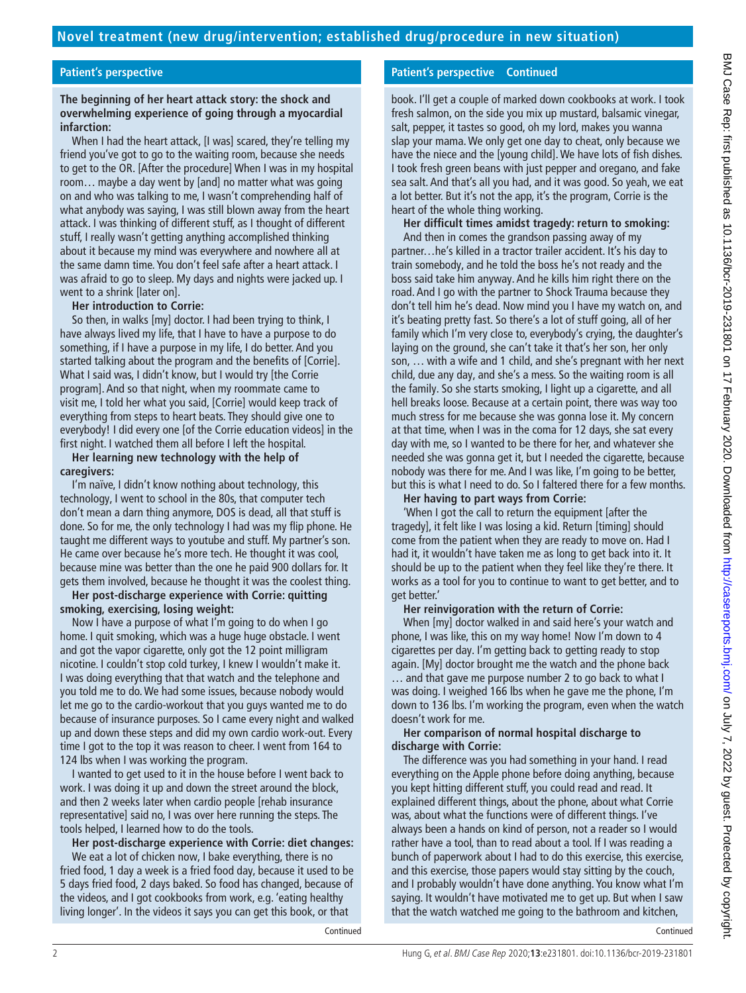## **Patient's perspective**

## **The beginning of her heart attack story: the shock and overwhelming experience of going through a myocardial infarction:**

When I had the heart attack, [I was] scared, they're telling my friend you've got to go to the waiting room, because she needs to get to the OR. [After the procedure] When I was in my hospital room… maybe a day went by [and] no matter what was going on and who was talking to me, I wasn't comprehending half of what anybody was saying, I was still blown away from the heart attack. I was thinking of different stuff, as I thought of different stuff, I really wasn't getting anything accomplished thinking about it because my mind was everywhere and nowhere all at the same damn time. You don't feel safe after a heart attack. I was afraid to go to sleep. My days and nights were jacked up. I went to a shrink [later on].

## **Her introduction to Corrie:**

So then, in walks [my] doctor. I had been trying to think, I have always lived my life, that I have to have a purpose to do something, if I have a purpose in my life, I do better. And you started talking about the program and the benefits of [Corrie]. What I said was, I didn't know, but I would try [the Corrie program]. And so that night, when my roommate came to visit me, I told her what you said, [Corrie] would keep track of everything from steps to heart beats. They should give one to everybody! I did every one [of the Corrie education videos] in the first night. I watched them all before I left the hospital.

#### **Her learning new technology with the help of caregivers:**

I'm naïve, I didn't know nothing about technology, this technology, I went to school in the 80s, that computer tech don't mean a darn thing anymore, DOS is dead, all that stuff is done. So for me, the only technology I had was my flip phone. He taught me different ways to youtube and stuff. My partner's son. He came over because he's more tech. He thought it was cool, because mine was better than the one he paid 900 dollars for. It gets them involved, because he thought it was the coolest thing.

#### **Her post-discharge experience with Corrie: quitting smoking, exercising, losing weight:**

Now I have a purpose of what I'm going to do when I go home. I quit smoking, which was a huge huge obstacle. I went and got the vapor cigarette, only got the 12 point milligram nicotine. I couldn't stop cold turkey, I knew I wouldn't make it. I was doing everything that that watch and the telephone and you told me to do. We had some issues, because nobody would let me go to the cardio-workout that you guys wanted me to do because of insurance purposes. So I came every night and walked up and down these steps and did my own cardio work-out. Every time I got to the top it was reason to cheer. I went from 164 to 124 lbs when I was working the program.

I wanted to get used to it in the house before I went back to work. I was doing it up and down the street around the block, and then 2 weeks later when cardio people [rehab insurance representative] said no, I was over here running the steps. The tools helped, I learned how to do the tools.

#### **Her post-discharge experience with Corrie: diet changes:** We eat a lot of chicken now, I bake everything, there is no fried food, 1 day a week is a fried food day, because it used to be 5 days fried food, 2 days baked. So food has changed, because of the videos, and I got cookbooks from work, e.g. 'eating healthy living longer'. In the videos it says you can get this book, or that

Continued

## **Patient's perspective Continued**

book. I'll get a couple of marked down cookbooks at work. I took fresh salmon, on the side you mix up mustard, balsamic vinegar, salt, pepper, it tastes so good, oh my lord, makes you wanna slap your mama. We only get one day to cheat, only because we have the niece and the [young child]. We have lots of fish dishes. I took fresh green beans with just pepper and oregano, and fake sea salt. And that's all you had, and it was good. So yeah, we eat a lot better. But it's not the app, it's the program, Corrie is the heart of the whole thing working.

**Her difficult times amidst tragedy: return to smoking:** And then in comes the grandson passing away of my partner…he's killed in a tractor trailer accident. It's his day to train somebody, and he told the boss he's not ready and the boss said take him anyway. And he kills him right there on the road. And I go with the partner to Shock Trauma because they don't tell him he's dead. Now mind you I have my watch on, and it's beating pretty fast. So there's a lot of stuff going, all of her family which I'm very close to, everybody's crying, the daughter's laying on the ground, she can't take it that's her son, her only son, … with a wife and 1 child, and she's pregnant with her next child, due any day, and she's a mess. So the waiting room is all the family. So she starts smoking, I light up a cigarette, and all hell breaks loose. Because at a certain point, there was way too much stress for me because she was gonna lose it. My concern at that time, when I was in the coma for 12 days, she sat every day with me, so I wanted to be there for her, and whatever she needed she was gonna get it, but I needed the cigarette, because nobody was there for me. And I was like, I'm going to be better, but this is what I need to do. So I faltered there for a few months.

# **Her having to part ways from Corrie:**

'When I got the call to return the equipment [after the tragedy], it felt like I was losing a kid. Return [timing] should come from the patient when they are ready to move on. Had I had it, it wouldn't have taken me as long to get back into it. It should be up to the patient when they feel like they're there. It works as a tool for you to continue to want to get better, and to get better.'

## **Her reinvigoration with the return of Corrie:**

When [my] doctor walked in and said here's your watch and phone, I was like, this on my way home! Now I'm down to 4 cigarettes per day. I'm getting back to getting ready to stop again. [My] doctor brought me the watch and the phone back … and that gave me purpose number 2 to go back to what I was doing. I weighed 166 lbs when he gave me the phone, I'm down to 136 lbs. I'm working the program, even when the watch doesn't work for me.

## **Her comparison of normal hospital discharge to discharge with Corrie:**

The difference was you had something in your hand. I read everything on the Apple phone before doing anything, because you kept hitting different stuff, you could read and read. It explained different things, about the phone, about what Corrie was, about what the functions were of different things. I've always been a hands on kind of person, not a reader so I would rather have a tool, than to read about a tool. If I was reading a bunch of paperwork about I had to do this exercise, this exercise, and this exercise, those papers would stay sitting by the couch, and I probably wouldn't have done anything. You know what I'm saying. It wouldn't have motivated me to get up. But when I saw that the watch watched me going to the bathroom and kitchen,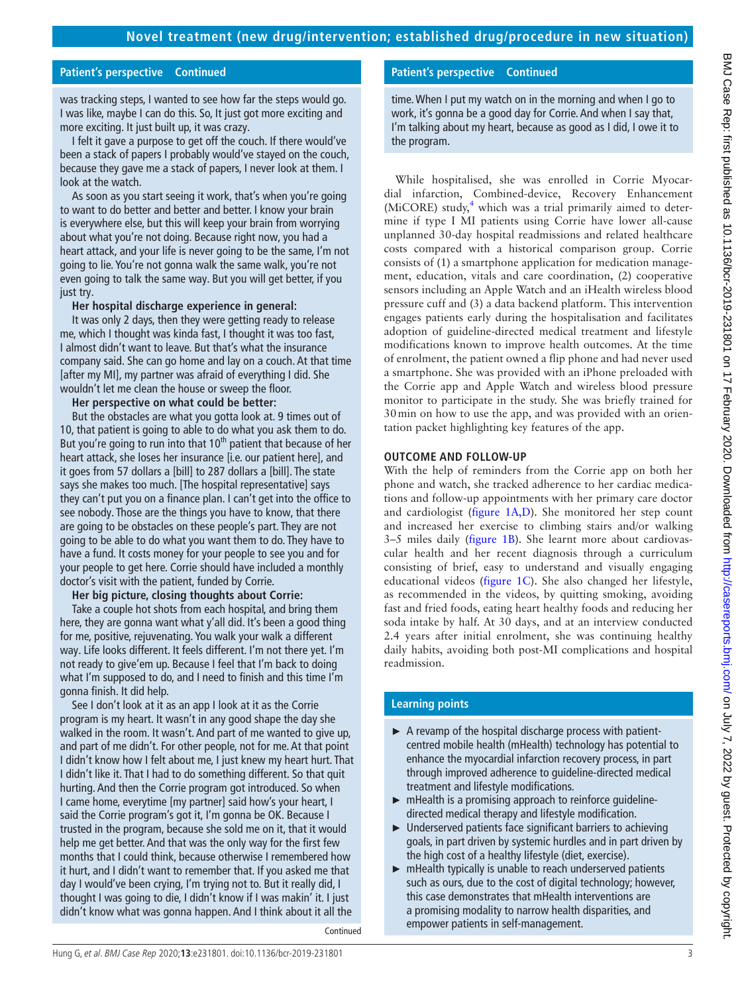## **Patient's perspective Continued**

was tracking steps, I wanted to see how far the steps would go. I was like, maybe I can do this. So, It just got more exciting and more exciting. It just built up, it was crazy.

I felt it gave a purpose to get off the couch. If there would've been a stack of papers I probably would've stayed on the couch, because they gave me a stack of papers, I never look at them. I look at the watch.

As soon as you start seeing it work, that's when you're going to want to do better and better and better. I know your brain is everywhere else, but this will keep your brain from worrying about what you're not doing. Because right now, you had a heart attack, and your life is never going to be the same, I'm not going to lie. You're not gonna walk the same walk, you're not even going to talk the same way. But you will get better, if you just try.

#### **Her hospital discharge experience in general:**

It was only 2 days, then they were getting ready to release me, which I thought was kinda fast, I thought it was too fast, I almost didn't want to leave. But that's what the insurance company said. She can go home and lay on a couch. At that time [after my MI], my partner was afraid of everything I did. She wouldn't let me clean the house or sweep the floor.

### **Her perspective on what could be better:**

But the obstacles are what you gotta look at. 9 times out of 10, that patient is going to able to do what you ask them to do. But you're going to run into that 10<sup>th</sup> patient that because of her heart attack, she loses her insurance [i.e. our patient here], and it goes from 57 dollars a [bill] to 287 dollars a [bill]. The state says she makes too much. [The hospital representative] says they can't put you on a finance plan. I can't get into the office to see nobody. Those are the things you have to know, that there are going to be obstacles on these people's part. They are not going to be able to do what you want them to do. They have to have a fund. It costs money for your people to see you and for your people to get here. Corrie should have included a monthly doctor's visit with the patient, funded by Corrie.

#### **Her big picture, closing thoughts about Corrie:**

Take a couple hot shots from each hospital, and bring them here, they are gonna want what y'all did. It's been a good thing for me, positive, rejuvenating. You walk your walk a different way. Life looks different. It feels different. I'm not there yet. I'm not ready to give'em up. Because I feel that I'm back to doing what I'm supposed to do, and I need to finish and this time I'm gonna finish. It did help.

See I don't look at it as an app I look at it as the Corrie program is my heart. It wasn't in any good shape the day she walked in the room. It wasn't. And part of me wanted to give up, and part of me didn't. For other people, not for me. At that point I didn't know how I felt about me, I just knew my heart hurt. That I didn't like it. That I had to do something different. So that quit hurting. And then the Corrie program got introduced. So when I came home, everytime [my partner] said how's your heart, I said the Corrie program's got it, I'm gonna be OK. Because I trusted in the program, because she sold me on it, that it would help me get better. And that was the only way for the first few months that I could think, because otherwise I remembered how it hurt, and I didn't want to remember that. If you asked me that day I would've been crying, I'm trying not to. But it really did, I thought I was going to die, I didn't know if I was makin' it. I just didn't know what was gonna happen. And I think about it all the

Continued

#### **Patient's perspective Continued**

time. When I put my watch on in the morning and when I go to work, it's gonna be a good day for Corrie. And when I say that, I'm talking about my heart, because as good as I did, I owe it to the program.

While hospitalised, she was enrolled in Corrie Myocardial infarction, Combined-device, Recovery Enhancement (MiCORE) study,<sup>4</sup> which was a trial primarily aimed to determine if type I MI patients using Corrie have lower all-cause unplanned 30-day hospital readmissions and related healthcare costs compared with a historical comparison group. Corrie consists of (1) a smartphone application for medication management, education, vitals and care coordination, (2) cooperative sensors including an Apple Watch and an iHealth wireless blood pressure cuff and (3) a data backend platform. This intervention engages patients early during the hospitalisation and facilitates adoption of guideline-directed medical treatment and lifestyle modifications known to improve health outcomes. At the time of enrolment, the patient owned a flip phone and had never used a smartphone. She was provided with an iPhone preloaded with the Corrie app and Apple Watch and wireless blood pressure monitor to participate in the study. She was briefly trained for 30min on how to use the app, and was provided with an orientation packet highlighting key features of the app.

#### **Outcome and follow-up**

With the help of reminders from the Corrie app on both her phone and watch, she tracked adherence to her cardiac medications and follow-up appointments with her primary care doctor and cardiologist ([figure](#page-0-0) 1A,D). She monitored her step count and increased her exercise to climbing stairs and/or walking 3–5 miles daily [\(figure](#page-0-0) 1B). She learnt more about cardiovascular health and her recent diagnosis through a curriculum consisting of brief, easy to understand and visually engaging educational videos [\(figure](#page-0-0) 1C). She also changed her lifestyle, as recommended in the videos, by quitting smoking, avoiding fast and fried foods, eating heart healthy foods and reducing her soda intake by half. At 30 days, and at an interview conducted 2.4 years after initial enrolment, she was continuing healthy daily habits, avoiding both post-MI complications and hospital readmission.

## **Learning points**

- $\triangleright$  A revamp of the hospital discharge process with patientcentred mobile health (mHealth) technology has potential to enhance the myocardial infarction recovery process, in part through improved adherence to guideline-directed medical treatment and lifestyle modifications.
- ► mHealth is a promising approach to reinforce guidelinedirected medical therapy and lifestyle modification.
- ► Underserved patients face significant barriers to achieving goals, in part driven by systemic hurdles and in part driven by the high cost of a healthy lifestyle (diet, exercise).
- $\blacktriangleright$  mHealth typically is unable to reach underserved patients such as ours, due to the cost of digital technology; however, this case demonstrates that mHealth interventions are a promising modality to narrow health disparities, and empower patients in self-management.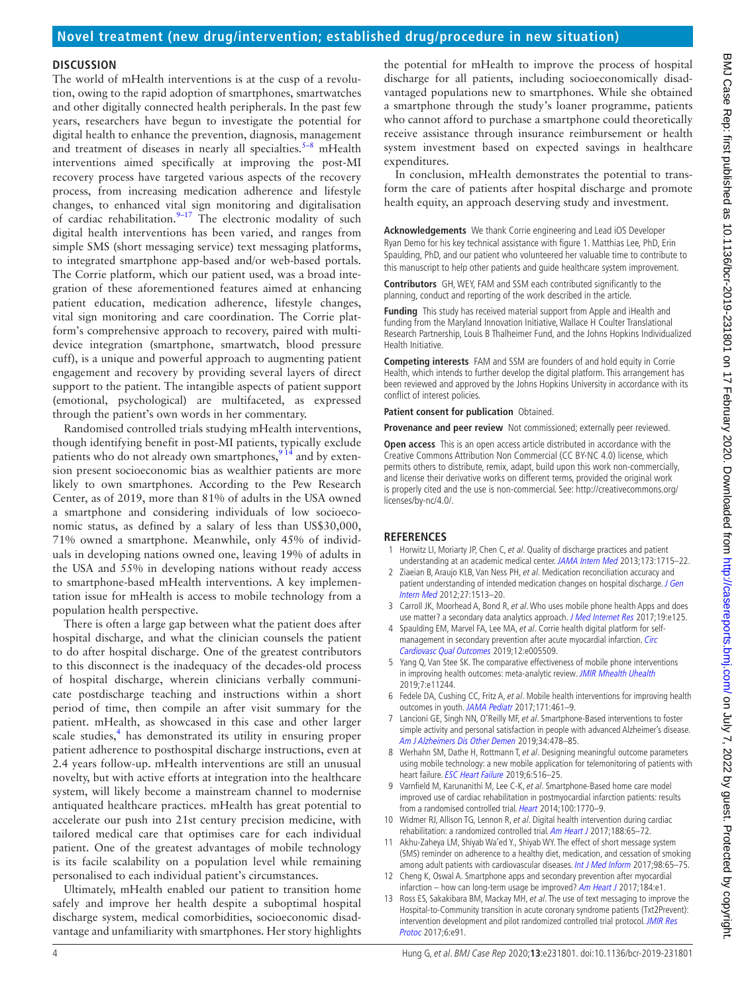## **Discussion**

The world of mHealth interventions is at the cusp of a revolution, owing to the rapid adoption of smartphones, smartwatches and other digitally connected health peripherals. In the past few years, researchers have begun to investigate the potential for digital health to enhance the prevention, diagnosis, management and treatment of diseases in nearly all specialties.<sup> $5-8$ </sup> mHealth interventions aimed specifically at improving the post-MI recovery process have targeted various aspects of the recovery process, from increasing medication adherence and lifestyle changes, to enhanced vital sign monitoring and digitalisation of cardiac rehabilitation.<sup>9-17</sup> The electronic modality of such digital health interventions has been varied, and ranges from simple SMS (short messaging service) text messaging platforms, to integrated smartphone app-based and/or web-based portals. The Corrie platform, which our patient used, was a broad integration of these aforementioned features aimed at enhancing patient education, medication adherence, lifestyle changes, vital sign monitoring and care coordination. The Corrie platform's comprehensive approach to recovery, paired with multidevice integration (smartphone, smartwatch, blood pressure cuff), is a unique and powerful approach to augmenting patient engagement and recovery by providing several layers of direct support to the patient. The intangible aspects of patient support (emotional, psychological) are multifaceted, as expressed through the patient's own words in her commentary.

Randomised controlled trials studying mHealth interventions, though identifying benefit in post-MI patients, typically exclude patients who do not already own smartphones,  $9^{14}$  and by extension present socioeconomic bias as wealthier patients are more likely to own smartphones. According to the Pew Research Center, as of 2019, more than 81% of adults in the USA owned a smartphone and considering individuals of low socioeconomic status, as defined by a salary of less than US\$30,000, 71% owned a smartphone. Meanwhile, only 45% of individuals in developing nations owned one, leaving 19% of adults in the USA and 55% in developing nations without ready access to smartphone-based mHealth interventions. A key implementation issue for mHealth is access to mobile technology from a population health perspective.

There is often a large gap between what the patient does after hospital discharge, and what the clinician counsels the patient to do after hospital discharge. One of the greatest contributors to this disconnect is the inadequacy of the decades-old process of hospital discharge, wherein clinicians verbally communicate postdischarge teaching and instructions within a short period of time, then compile an after visit summary for the patient. mHealth, as showcased in this case and other larger scale studies,<sup>4</sup> has demonstrated its utility in ensuring proper patient adherence to posthospital discharge instructions, even at 2.4 years follow-up. mHealth interventions are still an unusual novelty, but with active efforts at integration into the healthcare system, will likely become a mainstream channel to modernise antiquated healthcare practices. mHealth has great potential to accelerate our push into 21st century precision medicine, with tailored medical care that optimises care for each individual patient. One of the greatest advantages of mobile technology is its facile scalability on a population level while remaining personalised to each individual patient's circumstances.

Ultimately, mHealth enabled our patient to transition home safely and improve her health despite a suboptimal hospital discharge system, medical comorbidities, socioeconomic disadvantage and unfamiliarity with smartphones. Her story highlights

the potential for mHealth to improve the process of hospital discharge for all patients, including socioeconomically disadvantaged populations new to smartphones. While she obtained a smartphone through the study's loaner programme, patients who cannot afford to purchase a smartphone could theoretically receive assistance through insurance reimbursement or health system investment based on expected savings in healthcare expenditures.

In conclusion, mHealth demonstrates the potential to transform the care of patients after hospital discharge and promote health equity, an approach deserving study and investment.

**Acknowledgements** We thank Corrie engineering and Lead iOS Developer Ryan Demo for his key technical assistance with figure 1. Matthias Lee, PhD, Erin Spaulding, PhD, and our patient who volunteered her valuable time to contribute to this manuscript to help other patients and guide healthcare system improvement.

**Contributors** GH, WEY, FAM and SSM each contributed significantly to the planning, conduct and reporting of the work described in the article.

**Funding** This study has received material support from Apple and iHealth and funding from the Maryland Innovation Initiative, Wallace H Coulter Translational Research Partnership, Louis B Thalheimer Fund, and the Johns Hopkins Individualized Health Initiative.

**Competing interests** FAM and SSM are founders of and hold equity in Corrie Health, which intends to further develop the digital platform. This arrangement has been reviewed and approved by the Johns Hopkins University in accordance with its conflict of interest policies.

**Patient consent for publication** Obtained.

**Provenance and peer review** Not commissioned; externally peer reviewed.

**Open access** This is an open access article distributed in accordance with the Creative Commons Attribution Non Commercial (CC BY-NC 4.0) license, which permits others to distribute, remix, adapt, build upon this work non-commercially, and license their derivative works on different terms, provided the original work is properly cited and the use is non-commercial. See: [http://creativecommons.org/](http://creativecommons.org/licenses/by-nc/4.0/) [licenses/by-nc/4.0/.](http://creativecommons.org/licenses/by-nc/4.0/)

#### **References**

- <span id="page-3-0"></span>1 Horwitz LI, Moriarty JP, Chen C, et al. Quality of discharge practices and patient understanding at an academic medical center. [JAMA Intern Med](http://dx.doi.org/10.1001/jamainternmed.2013.9318) 2013;173:1715–22.
- <span id="page-3-1"></span>2 Ziaeian B, Araujo KLB, Van Ness PH, et al. Medication reconciliation accuracy and patient understanding of intended medication changes on hospital discharge. J Gen [Intern Med](http://dx.doi.org/10.1007/s11606-012-2168-4) 2012;27:1513–20.
- <span id="page-3-2"></span>3 Carroll JK, Moorhead A, Bond R, et al. Who uses mobile phone health Apps and does use matter? a secondary data analytics approach. [J Med Internet Res](http://dx.doi.org/10.2196/jmir.5604) 2017;19:e125.
- <span id="page-3-3"></span>4 Spaulding EM, Marvel FA, Lee MA, et al. Corrie health digital platform for selfmanagement in secondary prevention after acute myocardial infarction. [Circ](http://dx.doi.org/10.1161/CIRCOUTCOMES.119.005509)  [Cardiovasc Qual Outcomes](http://dx.doi.org/10.1161/CIRCOUTCOMES.119.005509) 2019;12:e005509.
- <span id="page-3-4"></span>5 Yang Q, Van Stee SK. The comparative effectiveness of mobile phone interventions in improving health outcomes: meta-analytic review. [JMIR Mhealth Uhealth](http://dx.doi.org/10.2196/11244) 2019;7:e11244.
- 6 Fedele DA, Cushing CC, Fritz A, et al. Mobile health interventions for improving health outcomes in youth. [JAMA Pediatr](http://dx.doi.org/10.1001/jamapediatrics.2017.0042) 2017;171:461-9.
- 7 Lancioni GE, Singh NN, O'Reilly MF, et al. Smartphone-Based interventions to foster simple activity and personal satisfaction in people with advanced Alzheimer's disease. [Am J Alzheimers Dis Other Demen](http://dx.doi.org/10.1177/1533317519844144) 2019;34:478-85.
- 8 Werhahn SM, Dathe H, Rottmann T, et al. Designing meaningful outcome parameters using mobile technology: a new mobile application for telemonitoring of patients with heart failure. [ESC Heart Failure](http://dx.doi.org/10.1002/ehf2.12425) 2019;6:516-25.
- <span id="page-3-5"></span>9 Varnfield M, Karunanithi M, Lee C-K, et al. Smartphone-Based home care model improved use of cardiac rehabilitation in postmyocardial infarction patients: results from a randomised controlled trial. [Heart](http://dx.doi.org/10.1136/heartjnl-2014-305783) 2014:100:1770-9.
- 10 Widmer RJ, Allison TG, Lennon R, et al. Digital health intervention during cardiac rehabilitation: a randomized controlled trial. [Am Heart J](http://dx.doi.org/10.1016/j.ahj.2017.02.016) 2017;188:65-72.
- 11 Akhu-Zaheya LM, Shiyab Wa'ed Y., Shiyab WY. The effect of short message system (SMS) reminder on adherence to a healthy diet, medication, and cessation of smoking among adult patients with cardiovascular diseases. [Int J Med Inform](http://dx.doi.org/10.1016/j.ijmedinf.2016.12.003) 2017;98:65-75.
- 12 Cheng K, Oswal A. Smartphone apps and secondary prevention after myocardial infarction – how can long-term usage be improved? [Am Heart J](http://dx.doi.org/10.1016/j.ahj.2016.10.021) 2017;184:e1.
- 13 Ross ES, Sakakibara BM, Mackay MH, et al. The use of text messaging to improve the Hospital-to-Community transition in acute coronary syndrome patients (Txt2Prevent): intervention development and pilot randomized controlled trial protocol. JMIR Res [Protoc](http://dx.doi.org/10.2196/resprot.6968) 2017;6:e91.